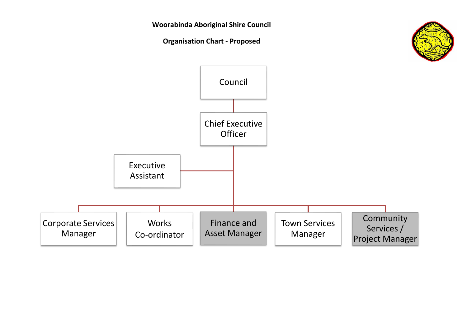

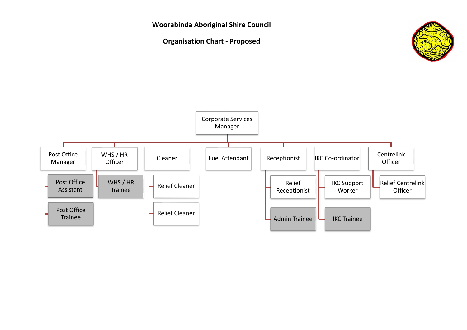

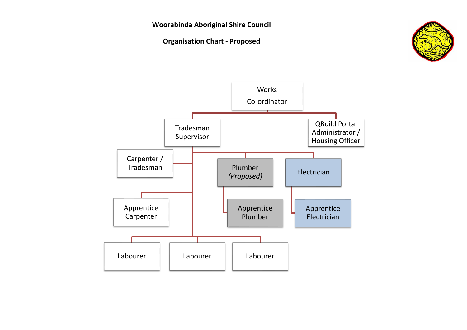

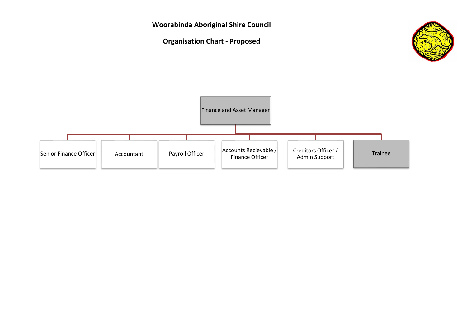**Woorabinda Aboriginal Shire Council Organisation Chart - Proposed** Finance and Asset Manager  $\begin{array}{|c|c|c|c|c|}\n\hline\n\text{Senior Finance Officer} & \text{Accountant} & \text{Payment} & \text{Payment} & \text{Figure 9} \end{array}$ Finance Officer Creditors Officer / reditors Officer / Trainee<br>Admin Support discussion of the Trainee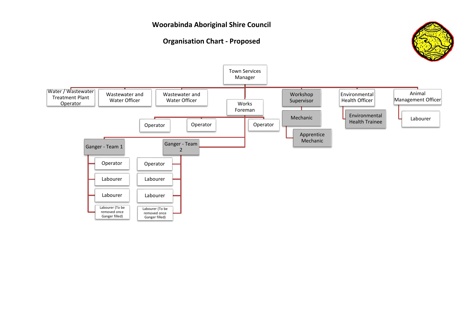